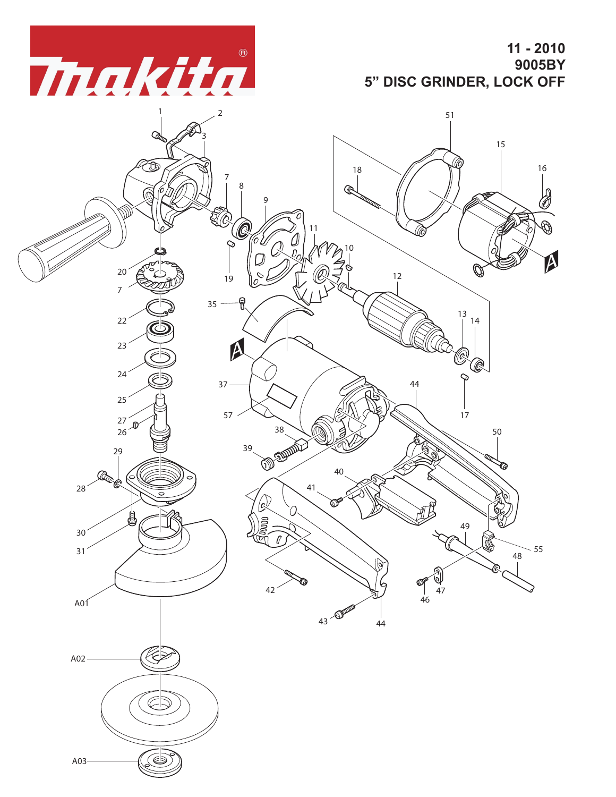*makita* 

**11 - 2010 9005BY 5" DISC GRINDER, LOCK OFF**

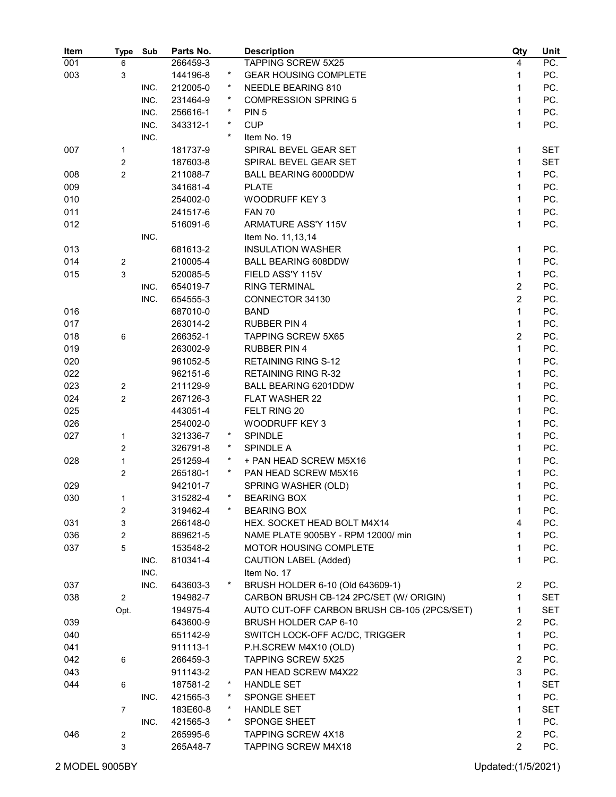| Item | <b>Type</b>    | Sub  | Parts No. |          | <b>Description</b>                          | Qty            | Unit       |
|------|----------------|------|-----------|----------|---------------------------------------------|----------------|------------|
| 001  | 6              |      | 266459-3  |          | <b>TAPPING SCREW 5X25</b>                   | 4              | PC.        |
| 003  | 3              |      | 144196-8  | $\star$  | <b>GEAR HOUSING COMPLETE</b>                | 1              | PC.        |
|      |                | INC. | 212005-0  | $\star$  | <b>NEEDLE BEARING 810</b>                   | 1              | PC.        |
|      |                | INC. | 231464-9  | $\star$  | <b>COMPRESSION SPRING 5</b>                 | 1              | PC.        |
|      |                | INC. | 256616-1  | $\ast$   | PIN <sub>5</sub>                            | 1              | PC.        |
|      |                | INC. | 343312-1  | $\ast$   | <b>CUP</b>                                  | 1              | PC.        |
|      |                | INC. |           | $\star$  | Item No. 19                                 |                |            |
| 007  | 1              |      | 181737-9  |          | SPIRAL BEVEL GEAR SET                       | 1              | <b>SET</b> |
|      | $\overline{2}$ |      | 187603-8  |          | SPIRAL BEVEL GEAR SET                       | 1              | <b>SET</b> |
| 008  | $\overline{c}$ |      | 211088-7  |          | <b>BALL BEARING 6000DDW</b>                 | 1              | PC.        |
| 009  |                |      | 341681-4  |          | <b>PLATE</b>                                | 1              | PC.        |
| 010  |                |      | 254002-0  |          | <b>WOODRUFF KEY 3</b>                       | 1              | PC.        |
| 011  |                |      | 241517-6  |          | <b>FAN 70</b>                               | 1              | PC.        |
| 012  |                |      | 516091-6  |          | ARMATURE ASS'Y 115V                         | 1              | PC.        |
|      |                | INC. |           |          | Item No. 11,13,14                           |                |            |
| 013  |                |      | 681613-2  |          | <b>INSULATION WASHER</b>                    | 1              | PC.        |
| 014  | $\overline{2}$ |      | 210005-4  |          | <b>BALL BEARING 608DDW</b>                  | 1              | PC.        |
|      | 3              |      |           |          | FIELD ASS'Y 115V                            | 1              | PC.        |
| 015  |                |      | 520085-5  |          |                                             | $\overline{2}$ |            |
|      |                | INC. | 654019-7  |          | <b>RING TERMINAL</b>                        | $\overline{2}$ | PC.        |
|      |                | INC. | 654555-3  |          | CONNECTOR 34130                             |                | PC.        |
| 016  |                |      | 687010-0  |          | <b>BAND</b>                                 | 1              | PC.        |
| 017  |                |      | 263014-2  |          | <b>RUBBER PIN 4</b>                         | 1              | PC.        |
| 018  | 6              |      | 266352-1  |          | <b>TAPPING SCREW 5X65</b>                   | $\overline{2}$ | PC.        |
| 019  |                |      | 263002-9  |          | <b>RUBBER PIN 4</b>                         | 1              | PC.        |
| 020  |                |      | 961052-5  |          | <b>RETAINING RING S-12</b>                  | 1              | PC.        |
| 022  |                |      | 962151-6  |          | <b>RETAINING RING R-32</b>                  | 1              | PC.        |
| 023  | $\overline{c}$ |      | 211129-9  |          | BALL BEARING 6201DDW                        | 1              | PC.        |
| 024  | $\overline{2}$ |      | 267126-3  |          | <b>FLAT WASHER 22</b>                       | 1              | PC.        |
| 025  |                |      | 443051-4  |          | FELT RING 20                                | 1              | PC.        |
| 026  |                |      | 254002-0  |          | <b>WOODRUFF KEY 3</b>                       | 1              | PC.        |
| 027  | 1              |      | 321336-7  | $^\star$ | SPINDLE                                     | 1              | PC.        |
|      | $\overline{c}$ |      | 326791-8  | $^\star$ | <b>SPINDLE A</b>                            | 1              | PC.        |
| 028  | $\mathbf{1}$   |      | 251259-4  | $\ast$   | + PAN HEAD SCREW M5X16                      | 1              | PC.        |
|      | $\overline{c}$ |      | 265180-1  | $\ast$   | PAN HEAD SCREW M5X16                        | 1              | PC.        |
| 029  |                |      | 942101-7  |          | SPRING WASHER (OLD)                         | 1              | PC.        |
| 030  | 1              |      | 315282-4  |          | <b>BEARING BOX</b>                          | 1              | PC.        |
|      | $\overline{c}$ |      | 319462-4  |          | <b>BEARING BOX</b>                          | 1              | PC.        |
| 031  | 3              |      | 266148-0  |          | HEX. SOCKET HEAD BOLT M4X14                 | 4              | PC.        |
| 036  | $\overline{2}$ |      | 869621-5  |          | NAME PLATE 9005BY - RPM 12000/ min          | 1              | PC.        |
| 037  | 5              |      | 153548-2  |          | MOTOR HOUSING COMPLETE                      | 1              | PC.        |
|      |                | INC. | 810341-4  |          | CAUTION LABEL (Added)                       | 1              | PC.        |
|      |                | INC. |           |          | Item No. 17                                 |                |            |
| 037  |                | INC. | 643603-3  |          | BRUSH HOLDER 6-10 (Old 643609-1)            | $\overline{2}$ | PC.        |
| 038  | $\overline{2}$ |      | 194982-7  |          | CARBON BRUSH CB-124 2PC/SET (W/ ORIGIN)     | 1              | <b>SET</b> |
|      | Opt.           |      | 194975-4  |          | AUTO CUT-OFF CARBON BRUSH CB-105 (2PCS/SET) | 1              | SET        |
| 039  |                |      | 643600-9  |          | BRUSH HOLDER CAP 6-10                       | 2              | PC.        |
| 040  |                |      | 651142-9  |          | SWITCH LOCK-OFF AC/DC, TRIGGER              | 1              | PC.        |
| 041  |                |      | 911113-1  |          | P.H.SCREW M4X10 (OLD)                       | $\mathbf{1}$   | PC.        |
| 042  | 6              |      | 266459-3  |          | <b>TAPPING SCREW 5X25</b>                   | $\overline{2}$ | PC.        |
| 043  |                |      | 911143-2  |          | PAN HEAD SCREW M4X22                        | 3              | PC.        |
| 044  | 6              |      | 187581-2  | *        | <b>HANDLE SET</b>                           | 1              | SET        |
|      |                | INC. | 421565-3  | *        | SPONGE SHEET                                | 1              | PC.        |
|      | 7              |      | 183E60-8  | $\ast$   | <b>HANDLE SET</b>                           | 1              | <b>SET</b> |
|      |                | INC. | 421565-3  | $\star$  | SPONGE SHEET                                | 1              | PC.        |
| 046  | 2              |      | 265995-6  |          | <b>TAPPING SCREW 4X18</b>                   | $\overline{2}$ | PC.        |
|      | 3              |      | 265A48-7  |          | TAPPING SCREW M4X18                         | $\overline{2}$ | PC.        |
|      |                |      |           |          |                                             |                |            |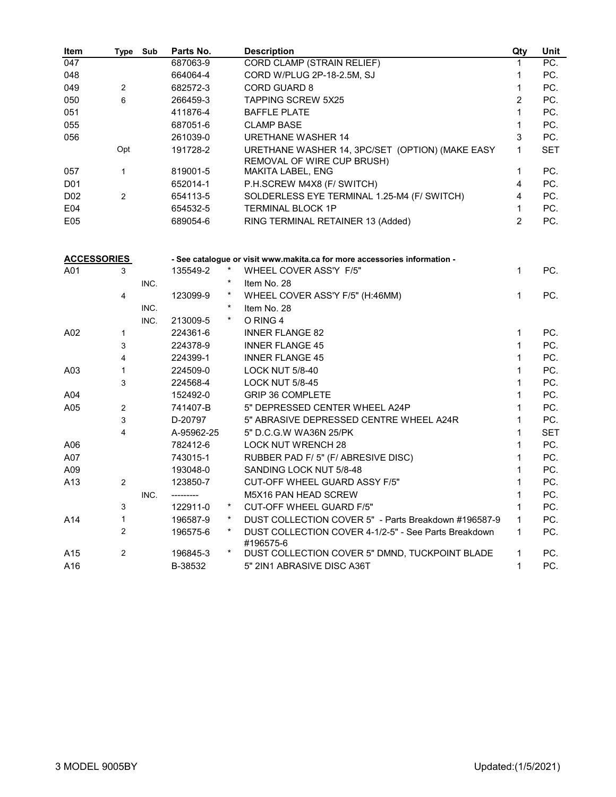| Item               | Type Sub       |      | Parts No.  |          | <b>Description</b>                                                                   | Qty            | <b>Unit</b> |
|--------------------|----------------|------|------------|----------|--------------------------------------------------------------------------------------|----------------|-------------|
| 047                |                |      | 687063-9   |          | <b>CORD CLAMP (STRAIN RELIEF)</b>                                                    | 1              | PC.         |
| 048                |                |      | 664064-4   |          | CORD W/PLUG 2P-18-2.5M, SJ                                                           | 1              | PC.         |
| 049                | $\overline{2}$ |      | 682572-3   |          | <b>CORD GUARD 8</b>                                                                  | 1              | PC.         |
| 050                | 6              |      | 266459-3   |          | <b>TAPPING SCREW 5X25</b>                                                            | 2              | PC.         |
| 051                |                |      | 411876-4   |          | <b>BAFFLE PLATE</b>                                                                  | 1              | PC.         |
| 055                |                |      | 687051-6   |          | <b>CLAMP BASE</b>                                                                    | 1              | PC.         |
| 056                |                |      | 261039-0   |          | <b>URETHANE WASHER 14</b>                                                            | 3              | PC.         |
|                    | Opt            |      | 191728-2   |          | URETHANE WASHER 14, 3PC/SET (OPTION) (MAKE EASY<br><b>REMOVAL OF WIRE CUP BRUSH)</b> | 1              | <b>SET</b>  |
| 057                | $\mathbf{1}$   |      | 819001-5   |          | MAKITA LABEL, ENG                                                                    | 1              | PC.         |
| D <sub>0</sub> 1   |                |      | 652014-1   |          | P.H.SCREW M4X8 (F/ SWITCH)                                                           | 4              | PC.         |
| D <sub>02</sub>    | $\overline{2}$ |      | 654113-5   |          | SOLDERLESS EYE TERMINAL 1.25-M4 (F/ SWITCH)                                          | 4              | PC.         |
| E04                |                |      | 654532-5   |          | <b>TERMINAL BLOCK 1P</b>                                                             | 1              | PC.         |
| E05                |                |      | 689054-6   |          | RING TERMINAL RETAINER 13 (Added)                                                    | $\overline{2}$ | PC.         |
|                    |                |      |            |          |                                                                                      |                |             |
| <b>ACCESSORIES</b> |                |      |            |          | - See catalogue or visit www.makita.ca for more accessories information -            |                |             |
| A01                | 3              |      | 135549-2   |          | WHEEL COVER ASS'Y F/5"                                                               | 1              | PC.         |
|                    |                | INC. |            | $^\star$ | Item No. 28                                                                          |                |             |
|                    | 4              |      | 123099-9   | $\star$  | WHEEL COVER ASS'Y F/5" (H:46MM)                                                      | 1              | PC.         |
|                    |                | INC. |            | $^\star$ | Item No. 28                                                                          |                |             |
|                    |                | INC. | 213009-5   | $\star$  | O RING 4                                                                             |                |             |
| A02                | 1              |      | 224361-6   |          | <b>INNER FLANGE 82</b>                                                               | 1              | PC.         |
|                    | 3              |      | 224378-9   |          | <b>INNER FLANGE 45</b>                                                               | 1              | PC.         |
|                    | 4              |      | 224399-1   |          | <b>INNER FLANGE 45</b>                                                               | 1              | PC.         |
| A03                | 1              |      | 224509-0   |          | <b>LOCK NUT 5/8-40</b>                                                               | 1              | PC.         |
|                    | 3              |      | 224568-4   |          | <b>LOCK NUT 5/8-45</b>                                                               | 1              | PC.         |
| A04                |                |      | 152492-0   |          | <b>GRIP 36 COMPLETE</b>                                                              | 1              | PC.         |
| A05                | $\overline{2}$ |      | 741407-B   |          | 5" DEPRESSED CENTER WHEEL A24P                                                       | 1              | PC.         |
|                    | 3              |      | D-20797    |          | 5" ABRASIVE DEPRESSED CENTRE WHEEL A24R                                              | 1              | PC.         |
|                    | 4              |      | A-95962-25 |          | 5" D.C.G.W WA36N 25/PK                                                               | 1              | <b>SET</b>  |
| A06                |                |      | 782412-6   |          | <b>LOCK NUT WRENCH 28</b>                                                            | 1              | PC.         |
| A07                |                |      | 743015-1   |          | RUBBER PAD F/5" (F/ ABRESIVE DISC)                                                   | 1              | PC.         |
| A09                |                |      | 193048-0   |          | SANDING LOCK NUT 5/8-48                                                              | 1              | PC.         |
| A13                | 2              |      | 123850-7   |          | CUT-OFF WHEEL GUARD ASSY F/5"                                                        | 1              | PC.         |
|                    |                | INC. |            |          | M5X16 PAN HEAD SCREW                                                                 | 1              | PC.         |
|                    | 3              |      | 122911-0   | *        | CUT-OFF WHEEL GUARD F/5"                                                             | 1              | PC.         |
| A14                | 1              |      | 196587-9   | *        | DUST COLLECTION COVER 5" - Parts Breakdown #196587-9                                 | 1              | PC.         |
|                    | 2              |      | 196575-6   | *        | DUST COLLECTION COVER 4-1/2-5" - See Parts Breakdown<br>#196575-6                    | 1              | PC.         |
| A15                | 2              |      | 196845-3   | $\star$  | DUST COLLECTION COVER 5" DMND, TUCKPOINT BLADE                                       | 1              | PC.         |
| A16                |                |      | B-38532    |          | 5" 2IN1 ABRASIVE DISC A36T                                                           | 1              | PC.         |
|                    |                |      |            |          |                                                                                      |                |             |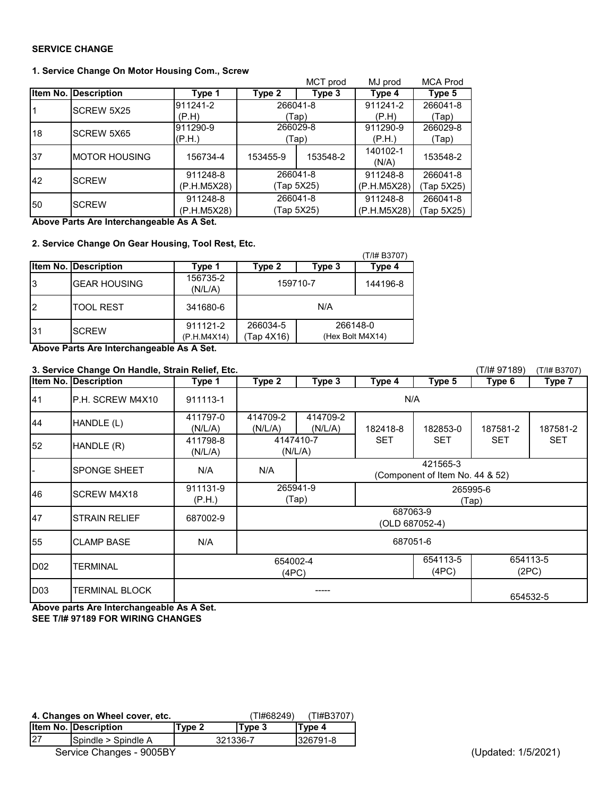## **SERVICE CHANGE**

## **1. Service Change On Motor Housing Com., Screw**

|    |                             |             |            | MCT prod | MJ prod                                                                                                | <b>MCA Prod</b> |
|----|-----------------------------|-------------|------------|----------|--------------------------------------------------------------------------------------------------------|-----------------|
|    | <b>Item No. Description</b> | Type 1      | Type 2     | Type 3   | Type 4                                                                                                 | Type 5          |
|    | <b>SCREW 5X25</b>           | 911241-2    | 266041-8   |          | 911241-2                                                                                               | 266041-8        |
|    |                             | (P.H)       |            | (Tap)    | (P.H)<br>911290-9<br>(P.H.)<br>140102-1<br>(N/A)<br>911248-8<br>(P.H.M5X28)<br>911248-8<br>(P.H.M5X28) | Tap)            |
| 18 | <b>SCREW 5X65</b>           | 911290-9    | 266029-8   |          |                                                                                                        | 266029-8        |
|    |                             | (P.H.)      |            | (Tap)    |                                                                                                        | (Tap)           |
| 37 | IMOTOR HOUSING              | 156734-4    | 153455-9   | 153548-2 |                                                                                                        | 153548-2        |
| 42 | <b>SCREW</b>                | 911248-8    |            | 266041-8 |                                                                                                        | 266041-8        |
|    |                             | (P.H.M5X28) | (Tap 5X25) |          |                                                                                                        | Tap 5X25)       |
|    | <b>SCREW</b>                | 911248-8    |            | 266041-8 |                                                                                                        | 266041-8        |
| 50 |                             | (P.H.M5X28) | (Tap 5X25) |          |                                                                                                        | Tap 5X25)       |

**Above Parts Are Interchangeable As A Set.** 

## **2. Service Change On Gear Housing, Tool Rest, Etc.**

|     |                      |                         |                        |                              | (T/I# B3707) |
|-----|----------------------|-------------------------|------------------------|------------------------------|--------------|
|     | Item No. Description | Type 1                  | Type 2                 | Type 3                       | Type 4       |
| 13  | <b>GEAR HOUSING</b>  | 156735-2<br>(N/L/A)     | 159710-7               |                              | 144196-8     |
| l2  | <b>TOOL REST</b>     | 341680-6                | N/A                    |                              |              |
| l31 | <b>SCREW</b>         | 911121-2<br>(P.H.M4X14) | 266034-5<br>(Tap 4X16) | 266148-0<br>(Hex Bolt M4X14) |              |

**Above Parts Are Interchangeable As A Set.** 

| 3. Service Change On Handle, Strain Relief, Etc. |                             |                                        |                                                    |                               |                   |            |            | (T/I# B3707) |  |
|--------------------------------------------------|-----------------------------|----------------------------------------|----------------------------------------------------|-------------------------------|-------------------|------------|------------|--------------|--|
|                                                  | <b>Item No. Description</b> | Type 1                                 | Type 2                                             | Type 3                        | Type 4            | Type 5     | Type 6     | Type 7       |  |
| 41                                               | P.H. SCREW M4X10            | 911113-1                               | N/A                                                |                               |                   |            |            |              |  |
| 44                                               | HANDLE (L)                  | 411797-0<br>(N/L/A)                    | 414709-2<br>(N/L/A)                                | 414709-2<br>(N/L/A)           | 182418-8          | 182853-0   | 187581-2   | 187581-2     |  |
| 52                                               | HANDLE (R)                  | 411798-8<br>(N/L/A)                    |                                                    | 4147410-7<br>(N/L/A)          | <b>SET</b>        | <b>SET</b> | <b>SET</b> | <b>SET</b>   |  |
|                                                  | <b>SPONGE SHEET</b>         | N/A                                    | 421565-3<br>N/A<br>(Component of Item No. 44 & 52) |                               |                   |            |            |              |  |
| 46                                               | SCREW M4X18                 | 911131-9<br>(P.H.)                     |                                                    | 265941-9<br>265995-6<br>(Tap) |                   |            | (Tap)      |              |  |
| 47                                               | <b>STRAIN RELIEF</b>        | 687002-9                               | 687063-9<br>(OLD 687052-4)                         |                               |                   |            |            |              |  |
| 55                                               | <b>CLAMP BASE</b>           | N/A                                    | 687051-6                                           |                               |                   |            |            |              |  |
| D <sub>02</sub>                                  | <b>TERMINAL</b>             | 654113-5<br>654002-4<br>(4PC)<br>(4PC) |                                                    |                               | 654113-5<br>(2PC) |            |            |              |  |
| D <sub>03</sub>                                  | <b>TERMINAL BLOCK</b>       |                                        |                                                    |                               |                   |            | 654532-5   |              |  |

**Above parts Are Interchangeable As A Set. SEE T/I# 97189 FOR WIRING CHANGES**

|    | 4. Changes on Wheel cover, etc. |        | TI#68249) | (TI#B3707) |
|----|---------------------------------|--------|-----------|------------|
|    | <b>Item No. Description</b>     | Tvpe 2 | Type 3    | Type 4     |
| 27 | Spindle > Spindle A             |        | 321336-7  | 326791-8   |
|    | Service Changes - 9005BY        |        |           |            |